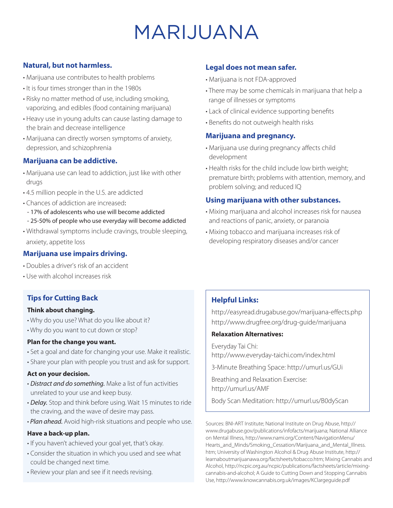# MARIJUANA

# **Natural, but not harmless.**

- Marijuana use contributes to health problems
- It is four times stronger than in the 1980s
- Risky no matter method of use, including smoking, vaporizing, and edibles (food containing marijuana)
- Heavy use in young adults can cause lasting damage to the brain and decrease intelligence
- Marijuana can directly worsen symptoms of anxiety, depression, and schizophrenia

# **Marijuana can be addictive.**

- Marijuana use can lead to addiction, just like with other drugs
- 4.5 million people in the U.S. are addicted
- Chances of addiction are increased:
- 17% of adolescents who use will become addicted
- 25-50% of people who use everyday will become addicted
- Withdrawal symptoms include cravings, trouble sleeping, anxiety, appetite loss

## **Marijuana use impairs driving.**

- Doubles a driver's risk of an accident
- Use with alcohol increases risk

# **Tips for Cutting Back**

#### **Think about changing.**

- Why do you use? What do you like about it?
- Why do you want to cut down or stop?

#### **Plan for the change you want.**

- Set a goal and date for changing your use. Make it realistic.
- Share your plan with people you trust and ask for support.

#### **Act on your decision.**

- *Distract and do something.* Make a list of fun activities unrelated to your use and keep busy.
- *Delay.* Stop and think before using. Wait 15 minutes to ride the craving, and the wave of desire may pass.
- *Plan ahead.* Avoid high-risk situations and people who use.

#### **Have a back-up plan.**

- If you haven't achieved your goal yet, that's okay.
- Consider the situation in which you used and see what could be changed next time.
- Review your plan and see if it needs revising.

# **Legal does not mean safer.**

- Marijuana is not FDA-approved
- There may be some chemicals in marijuana that help a range of illnesses or symptoms
- Lack of clinical evidence supporting benefits
- Benefits do not outweigh health risks

## **Marijuana and pregnancy.**

- Marijuana use during pregnancy affects child development
- Health risks for the child include low birth weight; premature birth; problems with attention, memory, and problem solving; and reduced IQ

## **Using marijuana with other substances.**

- Mixing marijuana and alcohol increases risk for nausea and reactions of panic, anxiety, or paranoia
- Mixing tobacco and marijuana increases risk of developing respiratory diseases and/or cancer

# **Helpful Links:**

http://easyread.drugabuse.gov/marijuana-effects.php http://www.drugfree.org/drug-guide/marijuana

### **Relaxation Alternatives:**

Everyday Tai Chi: http://www.everyday-taichi.com/index.html

3-Minute Breathing Space: http://umurl.us/GUi

Breathing and Relaxation Exercise: http://umurl.us/AMF

Body Scan Meditation: http://umurl.us/B0dyScan

Sources: BNI-ART Institute; National Institute on Drug Abuse, http:// www.drugabuse.gov/publications/infofacts/marijuana; National Alliance on Mental Illness, http://www.nami.org/Content/NavigationMenu/ Hearts\_and\_Minds/Smoking\_Cessation/Marijuana\_and\_Mental\_Illness. htm; University of Washington Alcohol & Drug Abuse Institute, http:// learnaboutmarijuanawa.org/factsheets/tobacco.htm; Mixing Cannabis and Alcohol, http://ncpic.org.au/ncpic/publications/factsheets/article/mixingcannabis-and-alcohol; A Guide to Cutting Down and Stopping Cannabis Use, http://www.knowcannabis.org.uk/images/KClargeguide.pdf